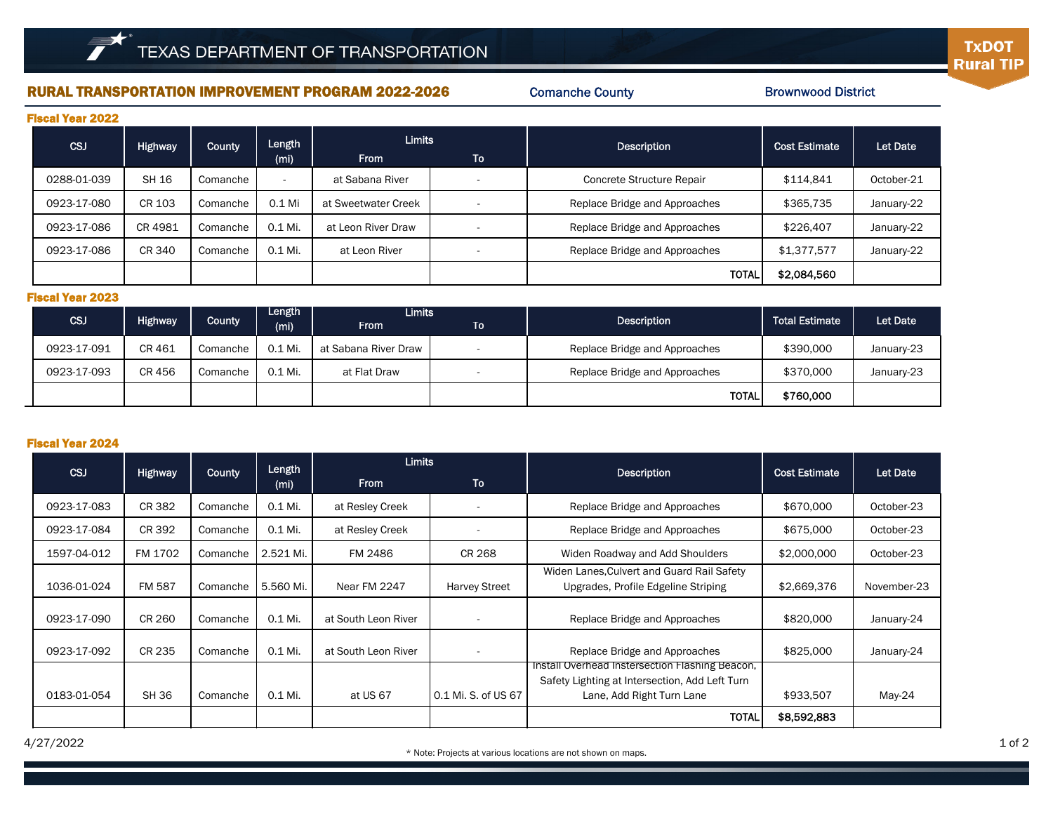## RURAL TRANSPORTATION IMPROVEMENT PROGRAM 2022-2026

Comanche County

Brownwood District

Fiscal Year 2022

| FIJVAI ITAI AVAA |                |               |                |                              |    |                               |                      |            |  |  |
|------------------|----------------|---------------|----------------|------------------------------|----|-------------------------------|----------------------|------------|--|--|
| CSJ              | <b>Highway</b> | <b>County</b> | Length<br>(mi) | <b>Limits</b><br><b>From</b> | To | <b>Description</b>            | <b>Cost Estimate</b> | Let Date   |  |  |
| 0288-01-039      | <b>SH 16</b>   | Comanche      |                | at Sabana River              |    | Concrete Structure Repair     | \$114.841            | October-21 |  |  |
| 0923-17-080      | CR 103         | Comanche      | 0.1 Mi         | at Sweetwater Creek          |    | Replace Bridge and Approaches | \$365,735            | January-22 |  |  |
| 0923-17-086      | CR 4981        | Comanche      | 0.1 Mi.        | at Leon River Draw           |    | Replace Bridge and Approaches | \$226,407            | January-22 |  |  |
| 0923-17-086      | CR 340         | Comanche      | 0.1 Mi.        | at Leon River                |    | Replace Bridge and Approaches | \$1,377,577          | January-22 |  |  |
|                  |                |               |                |                              |    | <b>TOTAL</b>                  | \$2,084,560          |            |  |  |

### Fiscal Year 2023

| CSJ         | <b>Highway</b> | County   | Length<br>(mi) | <b>Limits</b><br><b>From</b> | То | <b>Description</b>            | <b>Total Estimate</b> | Let Date   |
|-------------|----------------|----------|----------------|------------------------------|----|-------------------------------|-----------------------|------------|
| 0923-17-091 | CR 461         | Comanche | 0.1 Mi.        | at Sabana River Draw         |    | Replace Bridge and Approaches | \$390,000             | January-23 |
| 0923-17-093 | <b>CR456</b>   | Comanche | 0.1 Mi.        | at Flat Draw                 |    | Replace Bridge and Approaches | \$370,000             | January-23 |
|             |                |          |                |                              |    | <b>TOTAL</b>                  | \$760,000             |            |

#### Fiscal Year 2024

| <b>CSJ</b>  | <b>Highway</b> | <b>County</b> | Length            | <b>Limits</b>       |                          | <b>Description</b>                                                                                | <b>Cost Estimate</b> | <b>Let Date</b> |
|-------------|----------------|---------------|-------------------|---------------------|--------------------------|---------------------------------------------------------------------------------------------------|----------------------|-----------------|
|             |                |               | (m <sub>i</sub> ) | <b>From</b>         | <b>To</b>                |                                                                                                   |                      |                 |
| 0923-17-083 | CR 382         | Comanche      | 0.1 Mi.           | at Resley Creek     |                          | Replace Bridge and Approaches                                                                     | \$670,000            | October-23      |
| 0923-17-084 | CR 392         | Comanche      | 0.1 Mi.           | at Resley Creek     |                          | Replace Bridge and Approaches                                                                     | \$675,000            | October-23      |
| 1597-04-012 | FM 1702        | Comanche      | 2.521 Mi.         | FM 2486             | CR 268                   | Widen Roadway and Add Shoulders                                                                   | \$2,000,000          | October-23      |
| 1036-01-024 | FM 587         | Comanche      | 5.560 Mi.         | Near FM 2247        | <b>Harvey Street</b>     | Widen Lanes, Culvert and Guard Rail Safety<br>Upgrades, Profile Edgeline Striping                 | \$2,669,376          | November-23     |
| 0923-17-090 | CR 260         | Comanche      | 0.1 Mi.           | at South Leon River |                          | Replace Bridge and Approaches                                                                     | \$820,000            | January-24      |
| 0923-17-092 | CR 235         | Comanche      | 0.1 Mi.           | at South Leon River | $\overline{\phantom{a}}$ | Replace Bridge and Approaches                                                                     | \$825,000            | January-24      |
|             |                |               |                   |                     |                          | Install Overhead Instersection Flashing Beacon,<br>Safety Lighting at Intersection, Add Left Turn |                      |                 |
| 0183-01-054 | <b>SH 36</b>   | Comanche      | 0.1 Mi.           | at US 67            | 0.1 Mi. S. of US 67      | Lane, Add Right Turn Lane                                                                         | \$933,507            | $May-24$        |
|             |                |               |                   |                     |                          | TOTAL                                                                                             | \$8,592,883          |                 |

4/27/2022

**TxDOT** 

**Rural TIP**